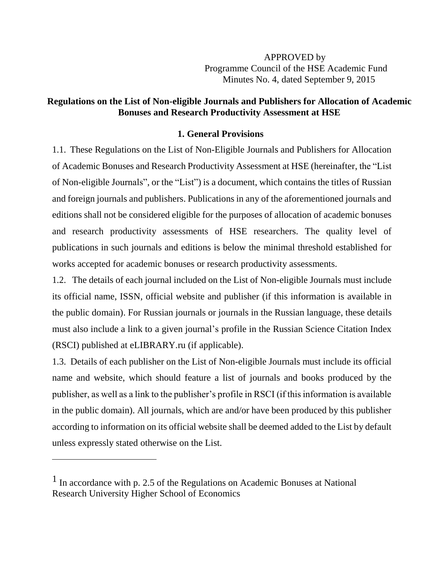APPROVED by Programme Council of the HSE Academic Fund Minutes No. 4, dated September 9, 2015

## **Regulations on the List of Non-eligible Journals and Publishers for Allocation of Academic Bonuses and Research Productivity Assessment at HSE**

## **1. General Provisions**

1.1. These Regulations on the List of Non-Eligible Journals and Publishers for Allocation of Academic Bonuses and Research Productivity Assessment at HSE (hereinafter, the "List of Non-eligible Journals", or the "List") is a document, which contains the titles of Russian and foreign journals and publishers. Publications in any of the aforementioned journals and editions shall not be considered eligible for the purposes of allocation of academic bonuses and research productivity assessments of HSE researchers. The quality level of publications in such journals and editions is below the minimal threshold established for works accepted for academic bonuses or research productivity assessments.

1.2. The details of each journal included on the List of Non-eligible Journals must include its official name, ISSN, official website and publisher (if this information is available in the public domain). For Russian journals or journals in the Russian language, these details must also include a link to a given journal's profile in the Russian Science Citation Index (RSCI) published at eLIBRARY.ru (if applicable).

1.3. Details of each publisher on the List of Non-eligible Journals must include its official name and website, which should feature a list of journals and books produced by the publisher, as well as a link to the publisher's profile in RSCI (if this information is available in the public domain). All journals, which are and/or have been produced by this publisher according to information on its official website shall be deemed added to the List by default unless expressly stated otherwise on the List.

<sup>1</sup> In accordance with p. 2.5 of the Regulations on Academic Bonuses at National Research University Higher School of Economics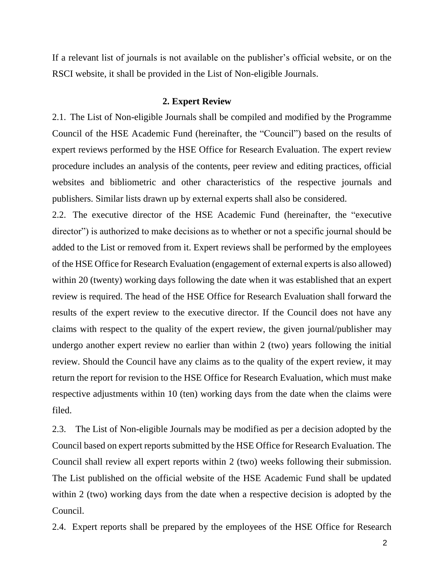If a relevant list of journals is not available on the publisher's official website, or on the RSCI website, it shall be provided in the List of Non-eligible Journals.

#### **2. Expert Review**

2.1. The List of Non-eligible Journals shall be compiled and modified by the Programme Council of the HSE Academic Fund (hereinafter, the "Council") based on the results of expert reviews performed by the HSE Office for Research Evaluation. The expert review procedure includes an analysis of the contents, peer review and editing practices, official websites and bibliometric and other characteristics of the respective journals and publishers. Similar lists drawn up by external experts shall also be considered.

2.2. The executive director of the HSE Academic Fund (hereinafter, the "executive director") is authorized to make decisions as to whether or not a specific journal should be added to the List or removed from it. Expert reviews shall be performed by the employees of the HSE Office for Research Evaluation (engagement of external experts is also allowed) within 20 (twenty) working days following the date when it was established that an expert review is required. The head of the HSE Office for Research Evaluation shall forward the results of the expert review to the executive director. If the Council does not have any claims with respect to the quality of the expert review, the given journal/publisher may undergo another expert review no earlier than within 2 (two) years following the initial review. Should the Council have any claims as to the quality of the expert review, it may return the report for revision to the HSE Office for Research Evaluation, which must make respective adjustments within 10 (ten) working days from the date when the claims were filed.

2.3. The List of Non-eligible Journals may be modified as per a decision adopted by the Council based on expert reports submitted by the HSE Office for Research Evaluation. The Council shall review all expert reports within 2 (two) weeks following their submission. The List published on the official website of the HSE Academic Fund shall be updated within 2 (two) working days from the date when a respective decision is adopted by the Council.

2.4. Expert reports shall be prepared by the employees of the HSE Office for Research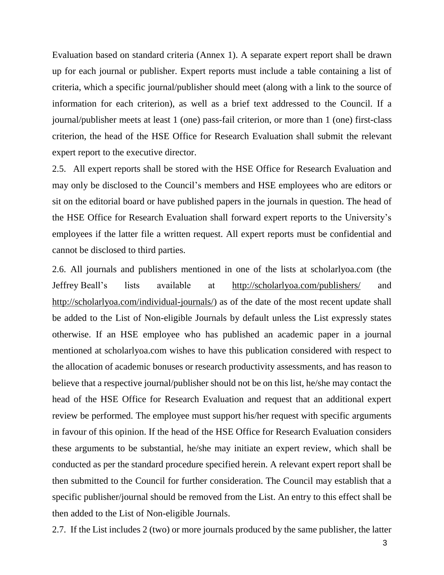Evaluation based on standard criteria (Annex 1). A separate expert report shall be drawn up for each journal or publisher. Expert reports must include a table containing a list of criteria, which a specific journal/publisher should meet (along with a link to the source of information for each criterion), as well as a brief text addressed to the Council. If a journal/publisher meets at least 1 (one) pass-fail criterion, or more than 1 (one) first-class criterion, the head of the HSE Office for Research Evaluation shall submit the relevant expert report to the executive director.

2.5. All expert reports shall be stored with the HSE Office for Research Evaluation and may only be disclosed to the Council's members and HSE employees who are editors or sit on the editorial board or have published papers in the journals in question. The head of the HSE Office for Research Evaluation shall forward expert reports to the University's employees if the latter file a written request. All expert reports must be confidential and cannot be disclosed to third parties.

2.6. All journals and publishers mentioned in one of the lists at scholarlyoa.com (the Jeffrey Beall's lists available at <http://scholarlyoa.com/publishers/> an[d](http://scholarlyoa.com/individual-journals/) [http://scholarlyoa.com/individual-journals/\)](http://scholarlyoa.com/individual-journals/) as of the date of the most recent update shall be added to the List of Non-eligible Journals by default unless the List expressly states otherwise. If an HSE employee who has published an academic paper in a journal mentioned at scholarlyoa.com wishes to have this publication considered with respect to the allocation of academic bonuses or research productivity assessments, and has reason to believe that a respective journal/publisher should not be on this list, he/she may contact the head of the HSE Office for Research Evaluation and request that an additional expert review be performed. The employee must support his/her request with specific arguments in favour of this opinion. If the head of the HSE Office for Research Evaluation considers these arguments to be substantial, he/she may initiate an expert review, which shall be conducted as per the standard procedure specified herein. A relevant expert report shall be then submitted to the Council for further consideration. The Council may establish that a specific publisher/journal should be removed from the List. An entry to this effect shall be then added to the List of Non-eligible Journals.

2.7. If the List includes 2 (two) or more journals produced by the same publisher, the latter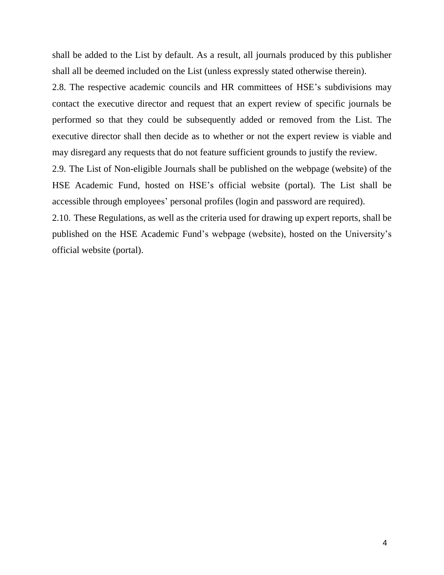shall be added to the List by default. As a result, all journals produced by this publisher shall all be deemed included on the List (unless expressly stated otherwise therein).

2.8. The respective academic councils and HR committees of HSE's subdivisions may contact the executive director and request that an expert review of specific journals be performed so that they could be subsequently added or removed from the List. The executive director shall then decide as to whether or not the expert review is viable and may disregard any requests that do not feature sufficient grounds to justify the review.

2.9. The List of Non-eligible Journals shall be published on the webpage (website) of the HSE Academic Fund, hosted on HSE's official website (portal). The List shall be accessible through employees' personal profiles (login and password are required).

2.10. These Regulations, as well as the criteria used for drawing up expert reports, shall be published on the HSE Academic Fund's webpage (website), hosted on the University's official website (portal).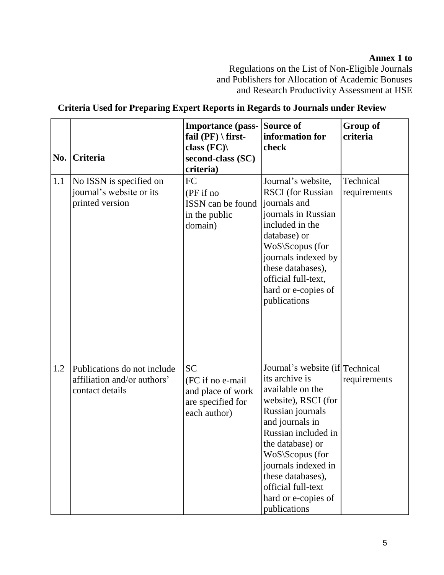# **Annex 1 to**

Regulations on the List of Non-Eligible Journals and Publishers for Allocation of Academic Bonuses and Research Productivity Assessment at HSE

| No. | Criteria                                                                      | <b>Importance</b> (pass-<br>fail $(PF) \setminus first$ -<br>class $(FC)$<br>second-class (SC)<br>criteria) | Source of<br>information for<br>check                                                                                                                                                                                                                                                                      | <b>Group of</b><br>criteria |
|-----|-------------------------------------------------------------------------------|-------------------------------------------------------------------------------------------------------------|------------------------------------------------------------------------------------------------------------------------------------------------------------------------------------------------------------------------------------------------------------------------------------------------------------|-----------------------------|
| 1.1 | No ISSN is specified on<br>journal's website or its<br>printed version        | FC<br>(PF if no<br>ISSN can be found<br>in the public<br>domain)                                            | Journal's website,<br><b>RSCI</b> (for Russian<br>journals and<br>journals in Russian<br>included in the<br>database) or<br>WoS\Scopus (for<br>journals indexed by<br>these databases),<br>official full-text,<br>hard or e-copies of<br>publications                                                      | Technical<br>requirements   |
| 1.2 | Publications do not include<br>affiliation and/or authors'<br>contact details | <b>SC</b><br>(FC if no e-mail<br>and place of work<br>are specified for<br>each author)                     | Journal's website (if Technical<br>its archive is<br>available on the<br>website), RSCI (for<br>Russian journals<br>and journals in<br>Russian included in<br>the database) or<br>WoS\Scopus (for<br>journals indexed in<br>these databases),<br>official full-text<br>hard or e-copies of<br>publications | requirements                |

## **Criteria Used for Preparing Expert Reports in Regards to Journals under Review**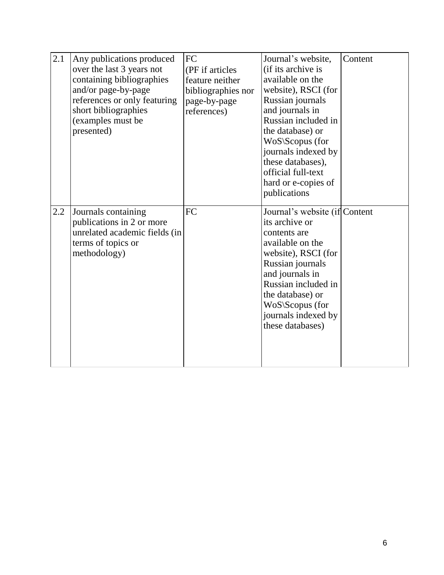| 2.1 | Any publications produced<br>over the last 3 years not<br>containing bibliographies<br>and/or page-by-page<br>references or only featuring<br>short bibliographies<br>(examples must be<br>presented) | FC<br>(PF if articles<br>feature neither<br>bibliographies nor<br>page-by-page<br>references) | Journal's website,<br>(if its archive is<br>available on the<br>website), RSCI (for<br>Russian journals<br>and journals in<br>Russian included in<br>the database) or<br>WoS\Scopus (for<br>journals indexed by<br>these databases),<br>official full-text<br>hard or e-copies of<br>publications | Content |
|-----|-------------------------------------------------------------------------------------------------------------------------------------------------------------------------------------------------------|-----------------------------------------------------------------------------------------------|---------------------------------------------------------------------------------------------------------------------------------------------------------------------------------------------------------------------------------------------------------------------------------------------------|---------|
| 2.2 | Journals containing<br>publications in 2 or more<br>unrelated academic fields (in<br>terms of topics or<br>methodology)                                                                               | FC                                                                                            | Journal's website (if Content<br>its archive or<br>contents are<br>available on the<br>website), RSCI (for<br>Russian journals<br>and journals in<br>Russian included in<br>the database) or<br>$WoS$ \Scopus (for<br>journals indexed by<br>these databases)                                     |         |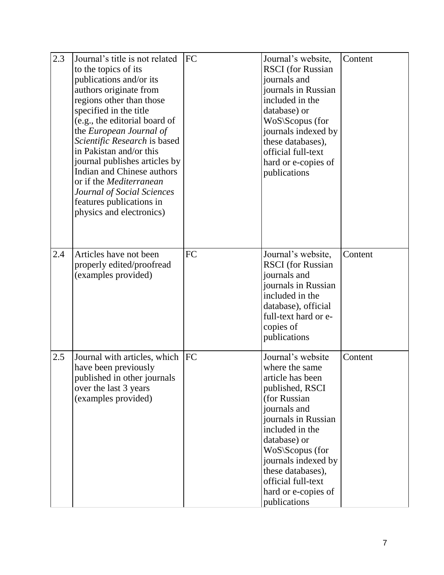| 2.3 | Journal's title is not related<br>to the topics of its<br>publications and/or its<br>authors originate from<br>regions other than those<br>specified in the title<br>(e.g., the editorial board of<br>the European Journal of<br>Scientific Research is based<br>in Pakistan and/or this<br>journal publishes articles by<br>Indian and Chinese authors<br>or if the <i>Mediterranean</i><br>Journal of Social Sciences<br>features publications in<br>physics and electronics) | FC         | Journal's website,<br><b>RSCI</b> (for Russian<br>journals and<br>journals in Russian<br>included in the<br>database) or<br>WoS\Scopus (for<br>journals indexed by<br>these databases),<br>official full-text<br>hard or e-copies of<br>publications                                             | Content |
|-----|---------------------------------------------------------------------------------------------------------------------------------------------------------------------------------------------------------------------------------------------------------------------------------------------------------------------------------------------------------------------------------------------------------------------------------------------------------------------------------|------------|--------------------------------------------------------------------------------------------------------------------------------------------------------------------------------------------------------------------------------------------------------------------------------------------------|---------|
| 2.4 | Articles have not been<br>properly edited/proofread<br>(examples provided)                                                                                                                                                                                                                                                                                                                                                                                                      | FC         | Journal's website,<br><b>RSCI</b> (for Russian<br>journals and<br>journals in Russian<br>included in the<br>database), official<br>full-text hard or e-<br>copies of<br>publications                                                                                                             | Content |
| 2.5 | Journal with articles, which<br>have been previously<br>published in other journals<br>over the last 3 years<br>(examples provided)                                                                                                                                                                                                                                                                                                                                             | <b>IFC</b> | Journal's website<br>where the same<br>article has been<br>published, RSCI<br>(for Russian<br>journals and<br>journals in Russian<br>included in the<br>database) or<br>WoS\Scopus (for<br>journals indexed by<br>these databases),<br>official full-text<br>hard or e-copies of<br>publications | Content |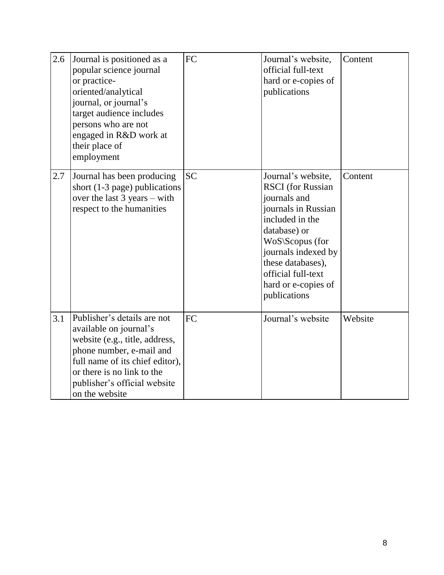| 2.6 | Journal is positioned as a<br>popular science journal<br>or practice-<br>oriented/analytical<br>journal, or journal's<br>target audience includes<br>persons who are not<br>engaged in R&D work at<br>their place of<br>employment     | FC        | Journal's website,<br>official full-text<br>hard or e-copies of<br>publications                                                                                                                                                                      | Content |
|-----|----------------------------------------------------------------------------------------------------------------------------------------------------------------------------------------------------------------------------------------|-----------|------------------------------------------------------------------------------------------------------------------------------------------------------------------------------------------------------------------------------------------------------|---------|
| 2.7 | Journal has been producing<br>short $(1-3$ page) publications<br>over the last $3$ years – with<br>respect to the humanities                                                                                                           | <b>SC</b> | Journal's website,<br><b>RSCI</b> (for Russian<br>journals and<br>journals in Russian<br>included in the<br>database) or<br>WoS\Scopus (for<br>journals indexed by<br>these databases),<br>official full-text<br>hard or e-copies of<br>publications | Content |
| 3.1 | Publisher's details are not<br>available on journal's<br>website (e.g., title, address,<br>phone number, e-mail and<br>full name of its chief editor),<br>or there is no link to the<br>publisher's official website<br>on the website | FC        | Journal's website                                                                                                                                                                                                                                    | Website |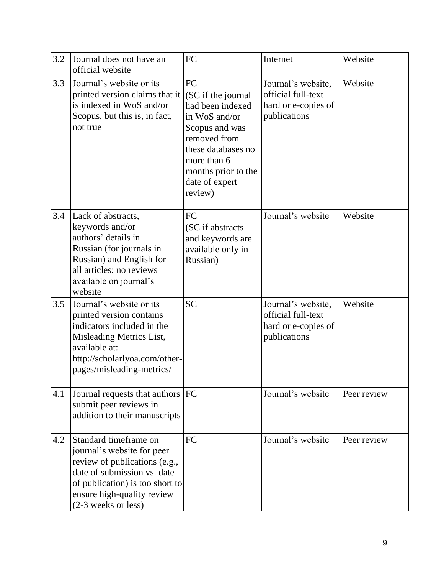| 3.2 | Journal does not have an<br>official website                                                                                                                                                                | FC                                                                                                                                                                                       | Internet                                                                        | Website     |
|-----|-------------------------------------------------------------------------------------------------------------------------------------------------------------------------------------------------------------|------------------------------------------------------------------------------------------------------------------------------------------------------------------------------------------|---------------------------------------------------------------------------------|-------------|
| 3.3 | Journal's website or its<br>printed version claims that it<br>is indexed in WoS and/or<br>Scopus, but this is, in fact,<br>not true                                                                         | FC<br>(SC if the journal<br>had been indexed<br>in WoS and/or<br>Scopus and was<br>removed from<br>these databases no<br>more than 6<br>months prior to the<br>date of expert<br>review) | Journal's website,<br>official full-text<br>hard or e-copies of<br>publications | Website     |
| 3.4 | Lack of abstracts,<br>keywords and/or<br>authors' details in<br>Russian (for journals in<br>Russian) and English for<br>all articles; no reviews<br>available on journal's<br>website                       | FC<br>(SC if abstracts<br>and keywords are<br>available only in<br>Russian)                                                                                                              | Journal's website                                                               | Website     |
| 3.5 | Journal's website or its<br>printed version contains<br>indicators included in the<br>Misleading Metrics List,<br>available at:<br>http://scholarlyoa.com/other-<br>pages/misleading-metrics/               | <b>SC</b>                                                                                                                                                                                | Journal's website,<br>official full-text<br>hard or e-copies of<br>publications | Website     |
| 4.1 | Journal requests that authors   FC<br>submit peer reviews in<br>addition to their manuscripts                                                                                                               |                                                                                                                                                                                          | Journal's website                                                               | Peer review |
| 4.2 | Standard timeframe on<br>journal's website for peer<br>review of publications (e.g.,<br>date of submission vs. date<br>of publication) is too short to<br>ensure high-quality review<br>(2-3 weeks or less) | FC                                                                                                                                                                                       | Journal's website                                                               | Peer review |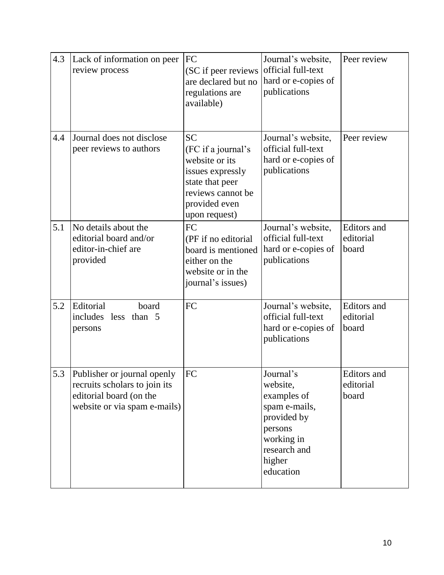| 4.3 | Lack of information on peer<br>review process                                                                           | FC<br>(SC if peer reviews<br>are declared but no<br>regulations are<br>available)                                                               | Journal's website,<br>official full-text<br>hard or e-copies of<br>publications                                                      | Peer review                              |
|-----|-------------------------------------------------------------------------------------------------------------------------|-------------------------------------------------------------------------------------------------------------------------------------------------|--------------------------------------------------------------------------------------------------------------------------------------|------------------------------------------|
| 4.4 | Journal does not disclose<br>peer reviews to authors                                                                    | <b>SC</b><br>(FC if a journal's<br>website or its<br>issues expressly<br>state that peer<br>reviews cannot be<br>provided even<br>upon request) | Journal's website,<br>official full-text<br>hard or e-copies of<br>publications                                                      | Peer review                              |
| 5.1 | No details about the<br>editorial board and/or<br>editor-in-chief are<br>provided                                       | FC<br>(PF if no editorial<br>board is mentioned<br>either on the<br>website or in the<br>journal's issues)                                      | Journal's website,<br>official full-text<br>hard or e-copies of<br>publications                                                      | <b>Editors</b> and<br>editorial<br>board |
| 5.2 | Editorial<br>board<br>includes less<br>than $5$<br>persons                                                              | FC                                                                                                                                              | Journal's website,<br>official full-text<br>hard or e-copies of<br>publications                                                      | <b>Editors</b> and<br>editorial<br>board |
| 5.3 | Publisher or journal openly<br>recruits scholars to join its<br>editorial board (on the<br>website or via spam e-mails) | FC                                                                                                                                              | Journal's<br>website,<br>examples of<br>spam e-mails,<br>provided by<br>persons<br>working in<br>research and<br>higher<br>education | Editors and<br>editorial<br>board        |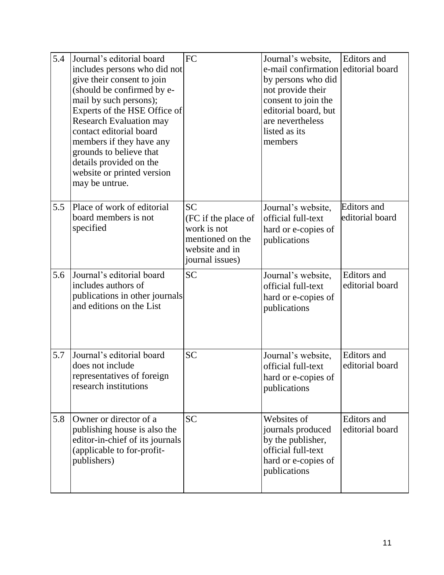| 5.4 | Journal's editorial board<br>includes persons who did not<br>give their consent to join<br>(should be confirmed by e-<br>mail by such persons);<br>Experts of the HSE Office of<br><b>Research Evaluation may</b><br>contact editorial board<br>members if they have any<br>grounds to believe that<br>details provided on the<br>website or printed version<br>may be untrue. | <b>FC</b>                                                                                                | Journal's website,<br>e-mail confirmation<br>by persons who did<br>not provide their<br>consent to join the<br>editorial board, but<br>are nevertheless<br>listed as its<br>members | Editors and<br>editorial board        |
|-----|--------------------------------------------------------------------------------------------------------------------------------------------------------------------------------------------------------------------------------------------------------------------------------------------------------------------------------------------------------------------------------|----------------------------------------------------------------------------------------------------------|-------------------------------------------------------------------------------------------------------------------------------------------------------------------------------------|---------------------------------------|
| 5.5 | Place of work of editorial<br>board members is not<br>specified                                                                                                                                                                                                                                                                                                                | <b>SC</b><br>(FC if the place of<br>work is not<br>mentioned on the<br>website and in<br>journal issues) | Journal's website,<br>official full-text<br>hard or e-copies of<br>publications                                                                                                     | <b>Editors</b> and<br>editorial board |
| 5.6 | Journal's editorial board<br>includes authors of<br>publications in other journals<br>and editions on the List                                                                                                                                                                                                                                                                 | <b>SC</b>                                                                                                | Journal's website,<br>official full-text<br>hard or e-copies of<br>publications                                                                                                     | Editors and<br>editorial board        |
| 5.7 | Journal's editorial board<br>does not include<br>representatives of foreign<br>research institutions                                                                                                                                                                                                                                                                           | <b>SC</b>                                                                                                | Journal's website,<br>official full-text<br>hard or e-copies of<br>publications                                                                                                     | Editors and<br>editorial board        |
| 5.8 | Owner or director of a<br>publishing house is also the<br>editor-in-chief of its journals<br>(applicable to for-profit-<br>publishers)                                                                                                                                                                                                                                         | <b>SC</b>                                                                                                | Websites of<br>journals produced<br>by the publisher,<br>official full-text<br>hard or e-copies of<br>publications                                                                  | Editors and<br>editorial board        |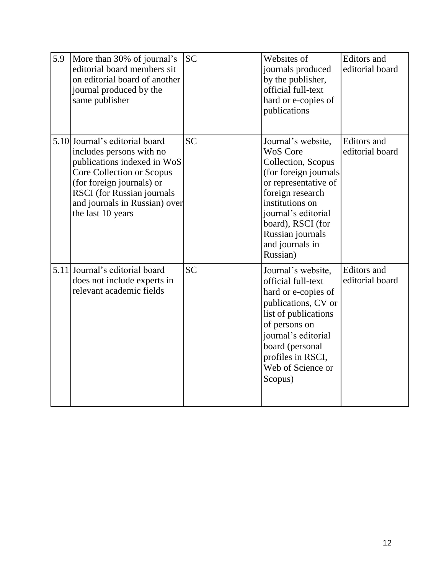| 5.9 | More than 30% of journal's<br>editorial board members sit<br>on editorial board of another<br>journal produced by the<br>same publisher                                                                                                        | <b>SC</b> | Websites of<br>journals produced<br>by the publisher,<br>official full-text<br>hard or e-copies of<br>publications                                                                                                                                 | Editors and<br>editorial board |
|-----|------------------------------------------------------------------------------------------------------------------------------------------------------------------------------------------------------------------------------------------------|-----------|----------------------------------------------------------------------------------------------------------------------------------------------------------------------------------------------------------------------------------------------------|--------------------------------|
|     | 5.10 Journal's editorial board<br>includes persons with no<br>publications indexed in WoS<br>Core Collection or Scopus<br>(for foreign journals) or<br><b>RSCI</b> (for Russian journals<br>and journals in Russian) over<br>the last 10 years | <b>SC</b> | Journal's website,<br><b>WoS</b> Core<br>Collection, Scopus<br>(for foreign journals<br>or representative of<br>foreign research<br>institutions on<br>journal's editorial<br>board), RSCI (for<br>Russian journals<br>and journals in<br>Russian) | Editors and<br>editorial board |
|     | 5.11 Journal's editorial board<br>does not include experts in<br>relevant academic fields                                                                                                                                                      | <b>SC</b> | Journal's website,<br>official full-text<br>hard or e-copies of<br>publications, CV or<br>list of publications<br>of persons on<br>journal's editorial<br>board (personal<br>profiles in RSCI,<br>Web of Science or<br>Scopus)                     | Editors and<br>editorial board |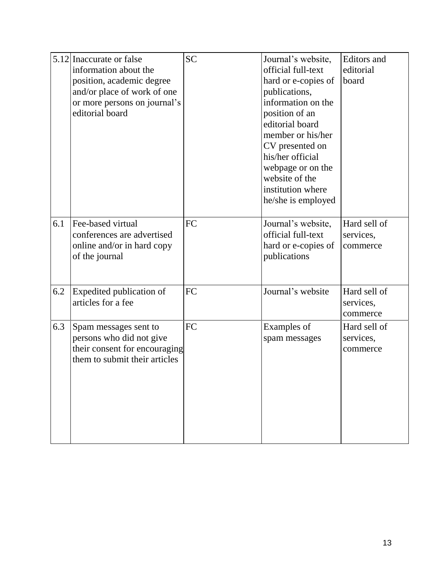|     | 5.12 Inaccurate or false<br>information about the<br>position, academic degree<br>and/or place of work of one<br>or more persons on journal's<br>editorial board | <b>SC</b> | Journal's website,<br>official full-text<br>hard or e-copies of<br>publications,<br>information on the<br>position of an<br>editorial board<br>member or his/her<br>CV presented on<br>his/her official<br>webpage or on the<br>website of the<br>institution where<br>he/she is employed | Editors and<br>editorial<br>board     |
|-----|------------------------------------------------------------------------------------------------------------------------------------------------------------------|-----------|-------------------------------------------------------------------------------------------------------------------------------------------------------------------------------------------------------------------------------------------------------------------------------------------|---------------------------------------|
| 6.1 | Fee-based virtual<br>conferences are advertised<br>online and/or in hard copy<br>of the journal                                                                  | FC        | Journal's website,<br>official full-text<br>hard or e-copies of<br>publications                                                                                                                                                                                                           | Hard sell of<br>services,<br>commerce |
| 6.2 | Expedited publication of<br>articles for a fee                                                                                                                   | FC        | Journal's website                                                                                                                                                                                                                                                                         | Hard sell of<br>services,<br>commerce |
| 6.3 | Spam messages sent to<br>persons who did not give<br>their consent for encouraging<br>them to submit their articles                                              | FC        | Examples of<br>spam messages                                                                                                                                                                                                                                                              | Hard sell of<br>services,<br>commerce |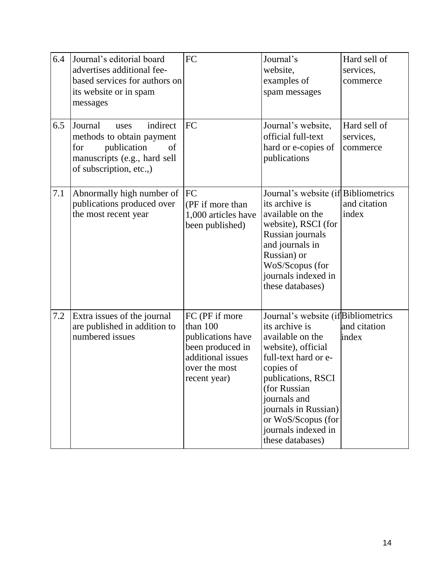| 6.4 | Journal's editorial board<br>advertises additional fee-<br>based services for authors on<br>its website or in spam<br>messages                  | FC                                                                                                                        | Journal's<br>website,<br>examples of<br>spam messages                                                                                                                                                                                                                               | Hard sell of<br>services,<br>commerce |
|-----|-------------------------------------------------------------------------------------------------------------------------------------------------|---------------------------------------------------------------------------------------------------------------------------|-------------------------------------------------------------------------------------------------------------------------------------------------------------------------------------------------------------------------------------------------------------------------------------|---------------------------------------|
| 6.5 | indirect<br>Journal<br>uses<br>methods to obtain payment<br>publication<br>for<br>of<br>manuscripts (e.g., hard sell<br>of subscription, etc.,) | FC                                                                                                                        | Journal's website,<br>official full-text<br>hard or e-copies of<br>publications                                                                                                                                                                                                     | Hard sell of<br>services,<br>commerce |
| 7.1 | Abnormally high number of<br>publications produced over<br>the most recent year                                                                 | FC<br>(PF if more than<br>1,000 articles have<br>been published)                                                          | Journal's website (if Bibliometrics<br>its archive is<br>available on the<br>website), RSCI (for<br>Russian journals<br>and journals in<br>Russian) or<br>WoS/Scopus (for<br>journals indexed in<br>these databases)                                                                | and citation<br>index                 |
| 7.2 | Extra issues of the journal<br>are published in addition to<br>numbered issues                                                                  | FC (PF if more<br>than 100<br>publications have<br>been produced in<br>additional issues<br>over the most<br>recent year) | Journal's website (if Bibliometrics<br>its archive is<br>available on the<br>website), official<br>full-text hard or e-<br>copies of<br>publications, RSCI<br>(for Russian<br>journals and<br>journals in Russian)<br>or WoS/Scopus (for<br>journals indexed in<br>these databases) | and citation<br>index                 |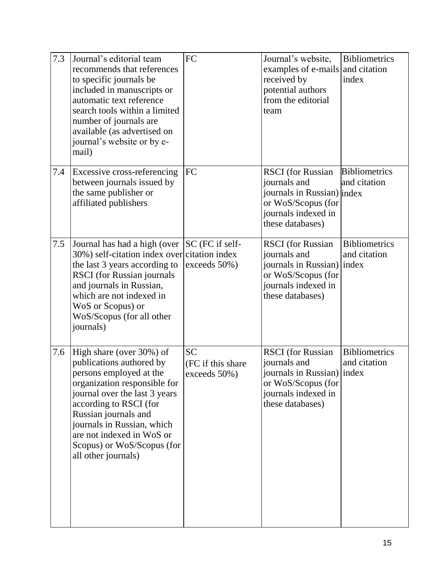| 7.3 | Journal's editorial team<br>recommends that references<br>to specific journals be<br>included in manuscripts or<br>automatic text reference<br>search tools within a limited<br>number of journals are<br>available (as advertised on<br>journal's website or by e-<br>mail)                                       | FC                                              | Journal's website,<br>examples of e-mails and citation<br>received by<br>potential authors<br>from the editorial<br>team                | <b>Bibliometrics</b><br>index                 |
|-----|--------------------------------------------------------------------------------------------------------------------------------------------------------------------------------------------------------------------------------------------------------------------------------------------------------------------|-------------------------------------------------|-----------------------------------------------------------------------------------------------------------------------------------------|-----------------------------------------------|
| 7.4 | Excessive cross-referencing<br>between journals issued by<br>the same publisher or<br>affiliated publishers                                                                                                                                                                                                        | FC                                              | <b>RSCI</b> (for Russian<br>journals and<br>journals in Russian) index<br>or WoS/Scopus (for<br>journals indexed in<br>these databases) | <b>Bibliometrics</b><br>and citation          |
| 7.5 | Journal has had a high (over<br>30%) self-citation index over citation index<br>the last 3 years according to<br><b>RSCI</b> (for Russian journals<br>and journals in Russian,<br>which are not indexed in<br>WoS or Scopus) or<br>WoS/Scopus (for all other<br>journals)                                          | SC (FC if self-<br>exceeds 50%)                 | <b>RSCI</b> (for Russian<br>journals and<br>journals in Russian)<br>or WoS/Scopus (for<br>journals indexed in<br>these databases)       | <b>Bibliometrics</b><br>and citation<br>index |
| 7.6 | High share (over 30%) of<br>publications authored by<br>persons employed at the<br>organization responsible for<br>journal over the last 3 years<br>according to RSCI (for<br>Russian journals and<br>journals in Russian, which<br>are not indexed in WoS or<br>Scopus) or WoS/Scopus (for<br>all other journals) | <b>SC</b><br>(FC if this share)<br>exceeds 50%) | <b>RSCI</b> (for Russian<br>journals and<br>journals in Russian) index<br>or WoS/Scopus (for<br>journals indexed in<br>these databases) | <b>Bibliometrics</b><br>and citation          |